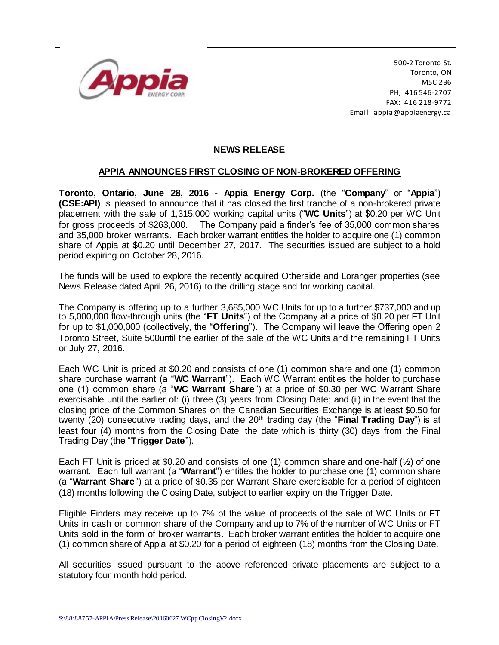

500-2 Toronto St. Toronto, ON M5C 2B6 PH; 416 546-2707 FAX: 416 218-9772 Email: appia@appiaenergy.ca

## **NEWS RELEASE**

## **APPIA ANNOUNCES FIRST CLOSING OF NON-BROKERED OFFERING**

**Toronto, Ontario, June 28, 2016 - Appia Energy Corp.** (the "**Company**" or "**Appia**") **(CSE:API)** is pleased to announce that it has closed the first tranche of a non-brokered private placement with the sale of 1,315,000 working capital units ("**WC Units**") at \$0.20 per WC Unit for gross proceeds of \$263,000. The Company paid a finder's fee of 35,000 common shares and 35,000 broker warrants. Each broker warrant entitles the holder to acquire one (1) common share of Appia at \$0.20 until December 27, 2017. The securities issued are subject to a hold period expiring on October 28, 2016.

The funds will be used to explore the recently acquired Otherside and Loranger properties (see News Release dated April 26, 2016) to the drilling stage and for working capital.

The Company is offering up to a further 3,685,000 WC Units for up to a further \$737,000 and up to 5,000,000 flow-through units (the "**FT Units**") of the Company at a price of \$0.20 per FT Unit for up to \$1,000,000 (collectively, the "**Offering**"). The Company will leave the Offering open 2 Toronto Street, Suite 500until the earlier of the sale of the WC Units and the remaining FT Units or July 27, 2016.

Each WC Unit is priced at \$0.20 and consists of one (1) common share and one (1) common share purchase warrant (a "**WC Warrant**"). Each WC Warrant entitles the holder to purchase one (1) common share (a "**WC Warrant Share**") at a price of \$0.30 per WC Warrant Share exercisable until the earlier of: (i) three (3) years from Closing Date; and (ii) in the event that the closing price of the Common Shares on the Canadian Securities Exchange is at least \$0.50 for twenty (20) consecutive trading days, and the 20<sup>th</sup> trading day (the "**Final Trading Day**") is at least four (4) months from the Closing Date, the date which is thirty (30) days from the Final Trading Day (the "**Trigger Date**").

Each FT Unit is priced at \$0.20 and consists of one (1) common share and one-half (½) of one warrant. Each full warrant (a "**Warrant**") entitles the holder to purchase one (1) common share (a "**Warrant Share**") at a price of \$0.35 per Warrant Share exercisable for a period of eighteen (18) months following the Closing Date, subject to earlier expiry on the Trigger Date.

Eligible Finders may receive up to 7% of the value of proceeds of the sale of WC Units or FT Units in cash or common share of the Company and up to 7% of the number of WC Units or FT Units sold in the form of broker warrants. Each broker warrant entitles the holder to acquire one (1) common share of Appia at \$0.20 for a period of eighteen (18) months from the Closing Date.

All securities issued pursuant to the above referenced private placements are subject to a statutory four month hold period.